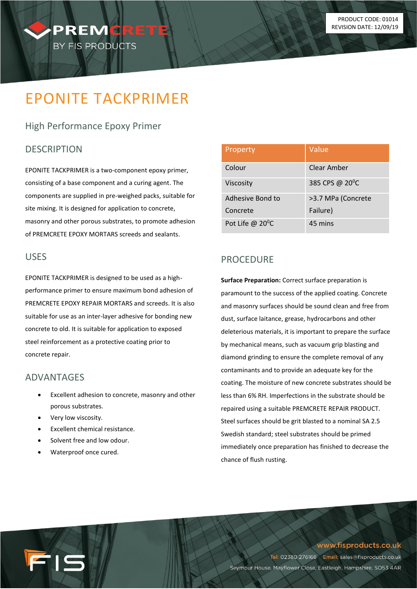# EPONITE TACKPRIMER

PREMORET

BY FIS PRODUCTS

# High Performance Epoxy Primer

#### **DESCRIPTION**

EPONITE TACKPRIMER is a two-component epoxy primer, consisting of a base component and a curing agent. The components are supplied in pre-weighed packs, suitable for site mixing. It is designed for application to concrete, masonry and other porous substrates, to promote adhesion of PREMCRETE EPOXY MORTARS screeds and sealants.

#### USES

EPONITE TACKPRIMER is designed to be used as a highperformance primer to ensure maximum bond adhesion of PREMCRETE EPOXY REPAIR MORTARS and screeds. It is also suitable for use as an inter-layer adhesive for bonding new concrete to old. It is suitable for application to exposed steel reinforcement as a protective coating prior to concrete repair.

#### ADVANTAGES

- Excellent adhesion to concrete, masonry and other porous substrates.
- Very low viscosity.

IS

- Excellent chemical resistance.
- Solvent free and low odour.
- Waterproof once cured.

| Property                  | Value                       |
|---------------------------|-----------------------------|
| Colour                    | Clear Amber                 |
| Viscosity                 | 385 CPS @ 20 <sup>°</sup> C |
| Adhesive Bond to          | >3.7 MPa (Concrete          |
| Concrete                  | Failure)                    |
| Pot Life @ $20^{\circ}$ C | 45 mins                     |

# **PROCEDURE**

**Surface Preparation:** Correct surface preparation is paramount to the success of the applied coating. Concrete and masonry surfaces should be sound clean and free from dust, surface laitance, grease, hydrocarbons and other deleterious materials, it is important to prepare the surface by mechanical means, such as vacuum grip blasting and diamond grinding to ensure the complete removal of any contaminants and to provide an adequate key for the coating. The moisture of new concrete substrates should be less than 6% RH. Imperfections in the substrate should be repaired using a suitable PREMCRETE REPAIR PRODUCT. Steel surfaces should be grit blasted to a nominal SA 2.5 Swedish standard; steel substrates should be primed immediately once preparation has finished to decrease the chance of flush rusting.

www.fisproducts.co.uk

Tel: 02380 276166 Email: sales@fisproducts.co.uk Seymour House, Mayflower Close, Eastleigh, Hampshire, SO53 4AR